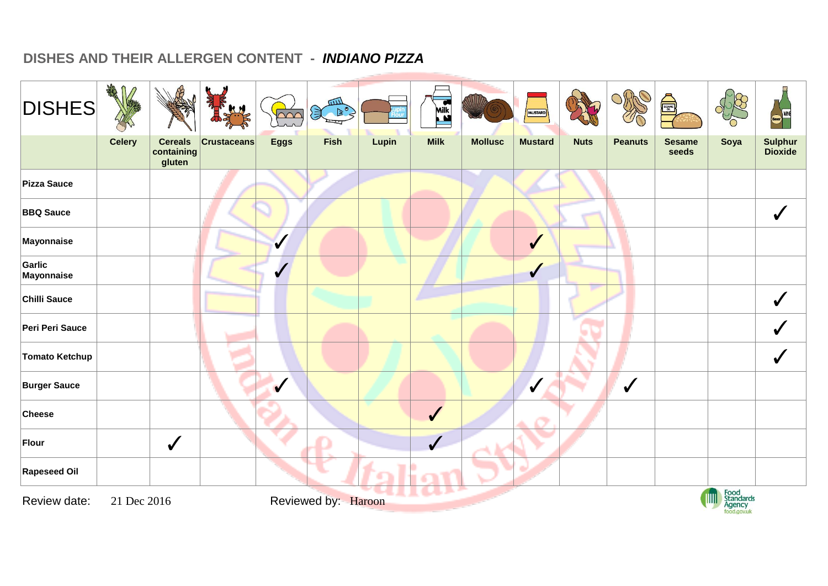## **DISHES AND THEIR ALLERGEN CONTENT -** *INDIANO PIZZA*

| <b>DISHES</b>         | AR            |                                        | R                  | W                       | <b>WILL</b><br>美 ?。 |       | <b>Milk</b>      |                | MUSTARD          |             |                | Å                      |                                            | WINE                             |
|-----------------------|---------------|----------------------------------------|--------------------|-------------------------|---------------------|-------|------------------|----------------|------------------|-------------|----------------|------------------------|--------------------------------------------|----------------------------------|
|                       | <b>Celery</b> | <b>Cereals</b><br>containing<br>gluten | <b>Crustaceans</b> | <b>Eggs</b>             | Fish                | Lupin | <b>Milk</b>      | <b>Mollusc</b> | <b>Mustard</b>   | <b>Nuts</b> | <b>Peanuts</b> | <b>Sesame</b><br>seeds | Soya                                       | <b>Sulphur</b><br><b>Dioxide</b> |
| Pizza Sauce           |               |                                        |                    |                         |                     |       |                  |                |                  |             |                |                        |                                            |                                  |
| <b>BBQ Sauce</b>      |               |                                        |                    |                         |                     |       |                  |                |                  |             |                |                        |                                            | $\checkmark$                     |
| Mayonnaise            |               |                                        |                    | $\checkmark$            |                     |       |                  |                | $\checkmark$     |             |                |                        |                                            |                                  |
| Garlic<br>Mayonnaise  |               |                                        |                    |                         |                     |       |                  |                | $\checkmark$     |             |                |                        |                                            |                                  |
| Chilli Sauce          |               |                                        |                    |                         |                     |       |                  |                |                  |             |                |                        |                                            |                                  |
| Peri Peri Sauce       |               |                                        |                    |                         |                     |       |                  |                |                  |             |                |                        |                                            |                                  |
| <b>Tomato Ketchup</b> |               |                                        |                    |                         |                     |       |                  |                |                  |             |                |                        |                                            |                                  |
| <b>Burger Sauce</b>   |               |                                        |                    | $\overline{\mathbf{v}}$ |                     |       |                  |                | $\boldsymbol{V}$ |             | $\checkmark$   |                        |                                            |                                  |
| <b>Cheese</b>         |               |                                        |                    |                         |                     |       | $\checkmark$     |                |                  |             |                |                        |                                            |                                  |
| Flour                 |               | $\checkmark$                           |                    |                         |                     |       | $\boldsymbol{J}$ |                |                  |             |                |                        |                                            |                                  |
| <b>Rapeseed Oil</b>   |               |                                        |                    |                         |                     |       |                  |                |                  |             |                |                        |                                            |                                  |
| Review date:          | 21 Dec 2016   |                                        |                    |                         | Reviewed by: Haroon |       |                  |                |                  |             |                |                        | Food<br>Standards<br>Agency<br><b>TITU</b> |                                  |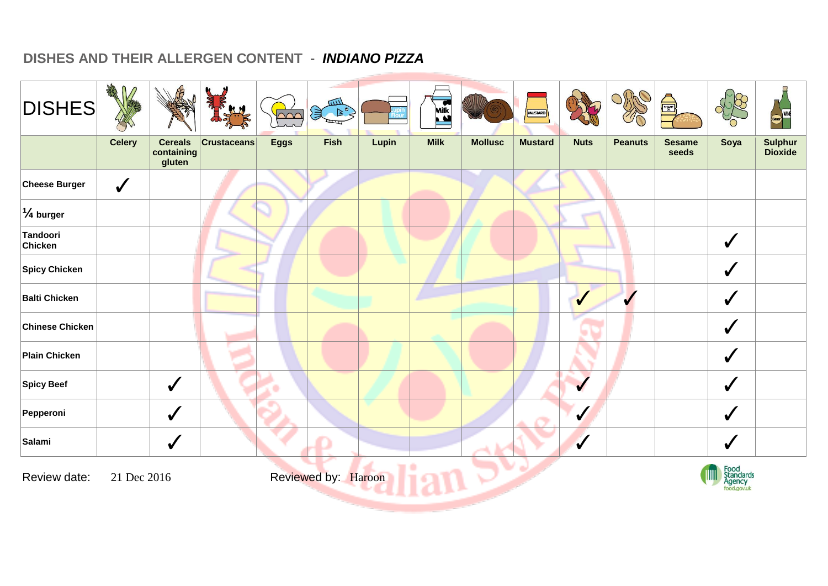## **DISHES AND THEIR ALLERGEN CONTENT -** *INDIANO PIZZA*

| <b>DISHES</b>        | AR            |                                        |                    | $\overline{\triangle\triangle\triangle}$ | шIJ<br>$\mathcal{F}$ |       | Milk<br><b>Nilk</b> |                | MUSTARD        |              |                | ė,                     |                             | Beer WINE                        |
|----------------------|---------------|----------------------------------------|--------------------|------------------------------------------|----------------------|-------|---------------------|----------------|----------------|--------------|----------------|------------------------|-----------------------------|----------------------------------|
|                      | <b>Celery</b> | <b>Cereals</b><br>containing<br>gluten | <b>Crustaceans</b> | <b>Eggs</b>                              | Fish                 | Lupin | <b>Milk</b>         | <b>Mollusc</b> | <b>Mustard</b> | <b>Nuts</b>  | <b>Peanuts</b> | <b>Sesame</b><br>seeds | Soya                        | <b>Sulphur</b><br><b>Dioxide</b> |
| <b>Cheese Burger</b> | $\checkmark$  |                                        |                    |                                          |                      |       |                     |                |                |              |                |                        |                             |                                  |
| $\frac{1}{4}$ burger |               |                                        |                    |                                          |                      |       |                     |                |                |              |                |                        |                             |                                  |
| Tandoori<br>Chicken  |               |                                        |                    |                                          |                      |       |                     |                |                |              |                |                        | $\checkmark$                |                                  |
| <b>Spicy Chicken</b> |               |                                        |                    |                                          |                      |       |                     |                |                |              |                |                        | $\checkmark$                |                                  |
| <b>Balti Chicken</b> |               |                                        |                    |                                          |                      |       |                     |                |                | $\checkmark$ | $\checkmark$   |                        | $\sqrt{2}$                  |                                  |
| Chinese Chicken      |               |                                        |                    |                                          |                      |       |                     |                |                |              |                |                        | $\bigvee$                   |                                  |
| <b>Plain Chicken</b> |               |                                        |                    |                                          |                      |       |                     |                |                |              |                |                        | $\checkmark$                |                                  |
| <b>Spicy Beef</b>    |               | $\checkmark$                           |                    |                                          |                      |       |                     |                |                | ✔            |                |                        | $\bigvee$                   |                                  |
| Pepperoni            |               | $\checkmark$                           |                    |                                          |                      |       |                     |                |                | $\checkmark$ |                |                        | $\checkmark$                |                                  |
| Salami               |               | $\checkmark$                           |                    |                                          |                      |       |                     |                |                | $\checkmark$ |                |                        | $\checkmark$                |                                  |
| Review date:         | 21 Dec 2016   |                                        |                    |                                          | Reviewed by: Haroon  |       |                     |                |                |              |                |                        | Food<br>Standards<br>Agency |                                  |